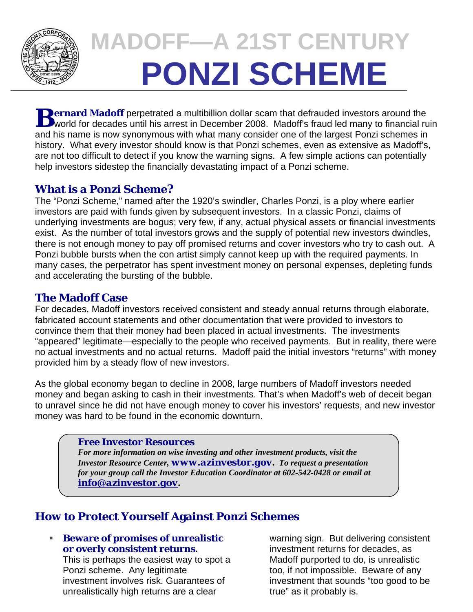

# **MADOFF—A 21ST CENTURY PONZI SCHEME**

**D** ernard Madoff perpetrated a multibillion dollar scam that defrauded investors around the **B B Madoff** perpetrated a multibillion dollar scam that defrauded investors around the world for decades until his arrest in December 2008. Madoff's fraud led many to financial ruin and his name is now synonymous with what many consider one of the largest Ponzi schemes in history. What every investor should know is that Ponzi schemes, even as extensive as Madoff's, are not too difficult to detect if you know the warning signs. A few simple actions can potentially help investors sidestep the financially devastating impact of a Ponzi scheme.

## **What is a Ponzi Scheme?**

The "Ponzi Scheme," named after the 1920's swindler, Charles Ponzi, is a ploy where earlier investors are paid with funds given by subsequent investors. In a classic Ponzi, claims of underlying investments are bogus; very few, if any, actual physical assets or financial investments exist. As the number of total investors grows and the supply of potential new investors dwindles, there is not enough money to pay off promised returns and cover investors who try to cash out. A Ponzi bubble bursts when the con artist simply cannot keep up with the required payments. In many cases, the perpetrator has spent investment money on personal expenses, depleting funds and accelerating the bursting of the bubble.

## **The Madoff Case**

For decades, Madoff investors received consistent and steady annual returns through elaborate, fabricated account statements and other documentation that were provided to investors to convince them that their money had been placed in actual investments. The investments "appeared" legitimate—especially to the people who received payments. But in reality, there were no actual investments and no actual returns. Madoff paid the initial investors "returns" with money provided him by a steady flow of new investors.

As the global economy began to decline in 2008, large numbers of Madoff investors needed money and began asking to cash in their investments. That's when Madoff's web of deceit began to unravel since he did not have enough money to cover his investors' requests, and new investor money was hard to be found in the economic downturn.

#### *Free Investor Resources*

*For more information on wise investing and other investment products, visit the Investor Resource Center, www.azinvestor.gov. To request a presentation for your group call the Investor Education Coordinator at 602-542-0428 or email at info@azinvestor.gov.*

## **How to Protect Yourself Against Ponzi Schemes**

#### **Beware of promises of unrealistic or overly consistent returns.**

This is perhaps the easiest way to spot a Ponzi scheme. Any legitimate investment involves risk. Guarantees of unrealistically high returns are a clear

warning sign. But delivering consistent investment returns for decades, as Madoff purported to do, is unrealistic too, if not impossible. Beware of any investment that sounds "too good to be true" as it probably is.